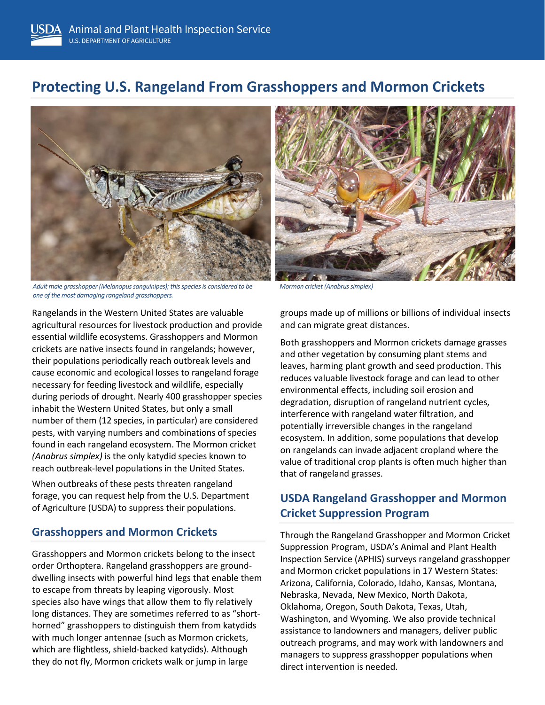# **Protecting U.S. Rangeland From Grasshoppers and Mormon Crickets**



Adult male grasshopper (Melanopus sanguinipes); this species is considered to be Mormon cricket (Anabrus simplex) *one of the most damaging rangeland grasshoppers.* 

Rangelands in the Western United States are valuable agricultural resources for livestock production and provide essential wildlife ecosystems. Grasshoppers and Mormon crickets are native insects found in rangelands; however, their populations periodically reach outbreak levels and cause economic and ecological losses to rangeland forage necessary for feeding livestock and wildlife, especially during periods of drought. Nearly 400 grasshopper species inhabit the Western United States, but only a small number of them (12 species, in particular) are considered pests, with varying numbers and combinations of species found in each rangeland ecosystem. The Mormon cricket *(Anabrus simplex)* is the only katydid species known to reach outbreak-level populations in the United States.

When outbreaks of these pests threaten rangeland forage, you can request help from the U.S. Department of Agriculture (USDA) to suppress their populations.

#### **Grasshoppers and Mormon Crickets**

Grasshoppers and Mormon crickets belong to the insect order Orthoptera. Rangeland grasshoppers are grounddwelling insects with powerful hind legs that enable them to escape from threats by leaping vigorously. Most species also have wings that allow them to fly relatively long distances. They are sometimes referred to as "shorthorned" grasshoppers to distinguish them from katydids with much longer antennae (such as Mormon crickets, which are flightless, shield-backed katydids). Although they do not fly, Mormon crickets walk or jump in large



groups made up of millions or billions of individual insects and can migrate great distances.

Both grasshoppers and Mormon crickets damage grasses and other vegetation by consuming plant stems and leaves, harming plant growth and seed production. This reduces valuable livestock forage and can lead to other environmental effects, including soil erosion and degradation, disruption of rangeland nutrient cycles, interference with rangeland water filtration, and potentially irreversible changes in the rangeland ecosystem. In addition, some populations that develop on rangelands can invade adjacent cropland where the value of traditional crop plants is often much higher than that of rangeland grasses.

## **USDA Rangeland Grasshopper and Mormon Cricket Suppression Program**

Through the Rangeland Grasshopper and Mormon Cricket Suppression Program, USDA's Animal and Plant Health Inspection Service (APHIS) surveys rangeland grasshopper and Mormon cricket populations in 17 Western States: Arizona, California, Colorado, Idaho, Kansas, Montana, Nebraska, Nevada, New Mexico, North Dakota, Oklahoma, Oregon, South Dakota, Texas, Utah, Washington, and Wyoming. We also provide technical assistance to landowners and managers, deliver public outreach programs, and may work with landowners and managers to suppress grasshopper populations when direct intervention is needed.